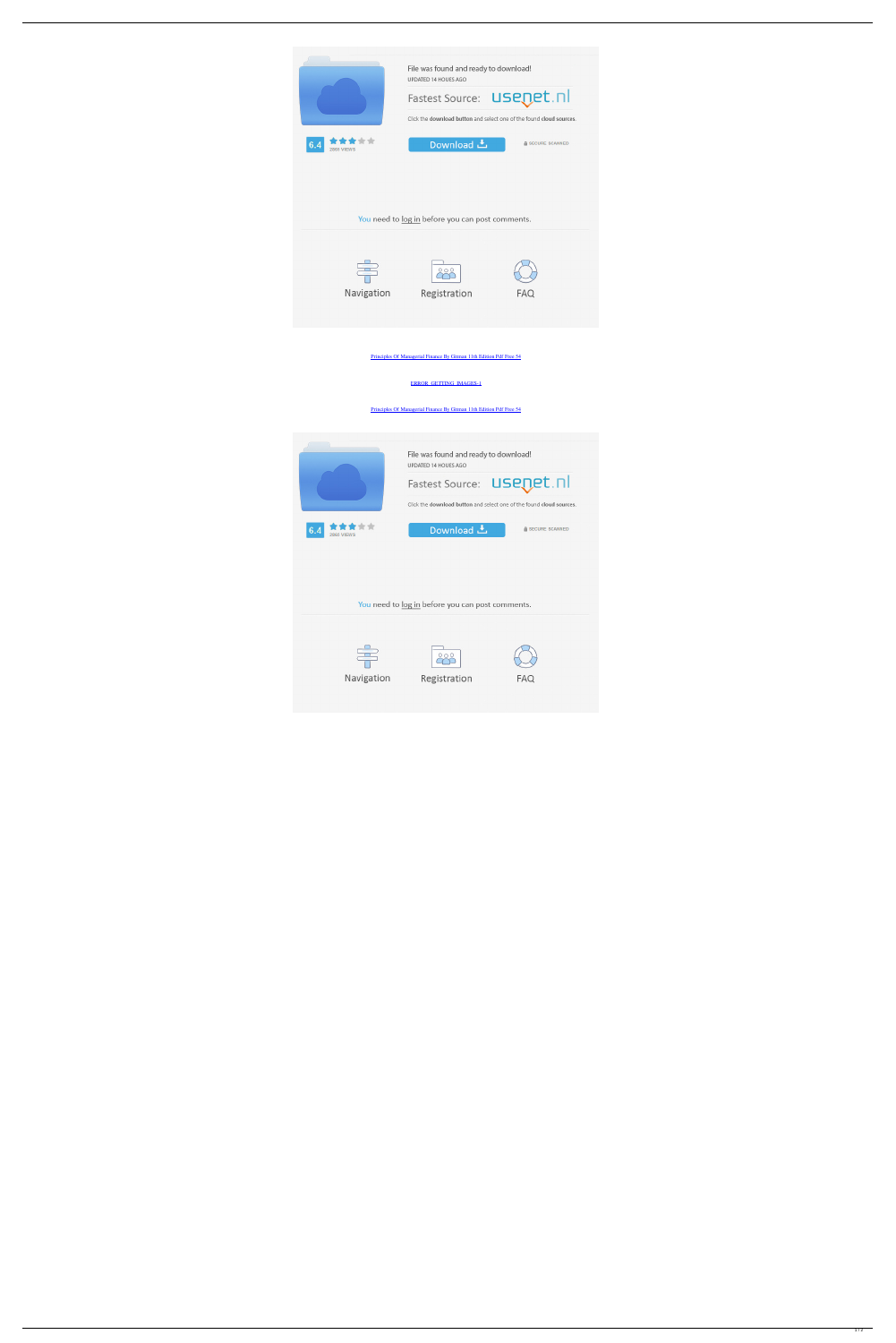